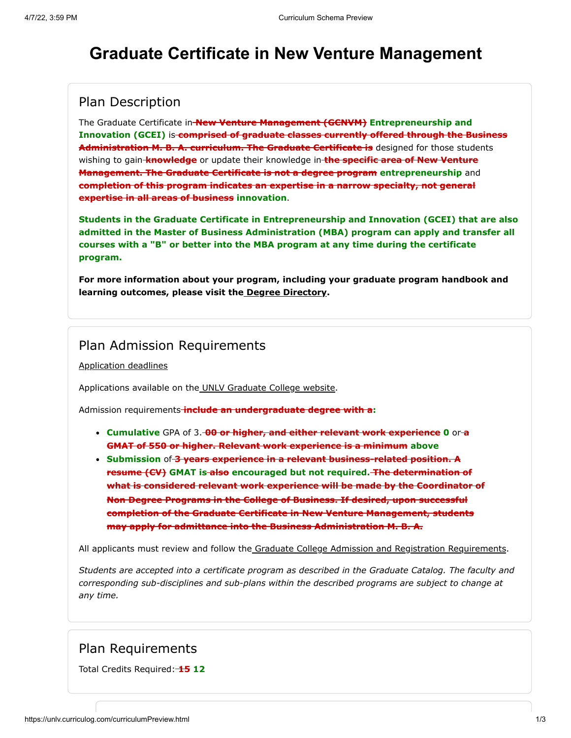# **Graduate Certificate in New Venture Management**

### Plan Description

The Graduate Certificate in **New Venture Management (GCNVM) Entrepreneurship and Innovation (GCEI)** is **comprised of graduate classes currently offered through the Business Administration M. B. A. curriculum. The Graduate Certificate is** designed for those students wishing to gain **knowledge** or update their knowledge in **the specific area of New Venture Management. The Graduate Certificate is not a degree program entrepreneurship** and **completion of this program indicates an expertise in a narrow specialty, not general expertise in all areas of business innovation**.

**Students in the Graduate Certificate in Entrepreneurship and Innovation (GCEI) that are also admitted in the Master of Business Administration (MBA) program can apply and transfer all courses with a "B" or better into the MBA program at any time during the certificate program.**

**For more information about your program, including your graduate program handbook and learning outcomes, please visit the [Degree Directory.](http://www.unlv.edu/certificate/grad-new-venture-management)**

### Plan Admission Requirements

[Application deadlines](http://www.unlv.edu/graduatecollege/application-deadlines)

Applications available on th[e UNLV Graduate College website.](http://graduatecollege.unlv.edu/admissions/)

Admission requirements **include an undergraduate degree with a:**

- **Cumulative** GPA of 3. **00 or higher, and either relevant work experience 0** or **a GMAT of 550 or higher. Relevant work experience is a minimum above**
- **Submission** of **3 years experience in a relevant business-related position. A resume (CV)** GMAT is also encouraged but not required. The determination of **what is considered relevant work experience will be made by the Coordinator of Non Degree Programs in the College of Business. If desired, upon successful completion of the Graduate Certificate in New Venture Management, students may apply for admittance into the Business Administration M. B. A.**

All applicants must review and follow th[e Graduate College Admission and Registration Requirements](http://www.unlv.edu/graduatecollege/futurestudents).

*Students are accepted into a certificate program as described in the Graduate Catalog. The faculty and corresponding sub-disciplines and sub-plans within the described programs are subject to change at any time.*

### Plan Requirements

Total Credits Required: **15 12**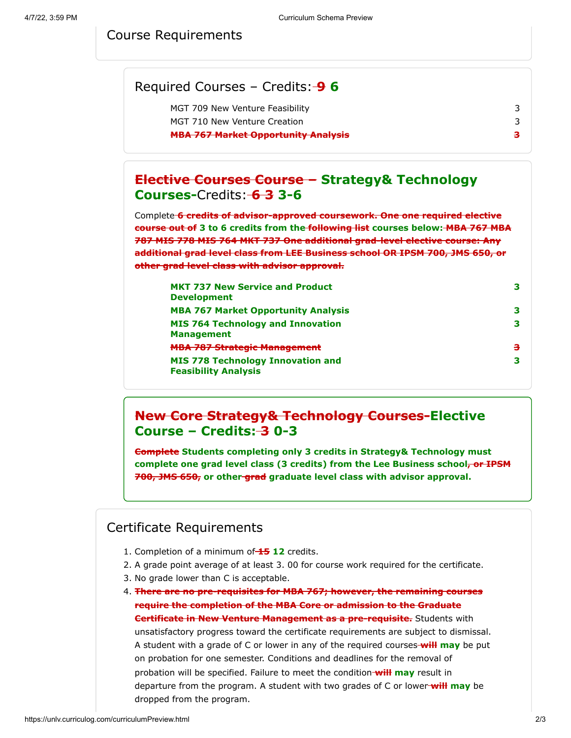#### Course Requirements

| Required Courses - Credits: $\rightarrow$ 6 |    |
|---------------------------------------------|----|
| MGT 709 New Venture Feasibility             |    |
| MGT 710 New Venture Creation                |    |
| <b>MBA 767 Market Opportunity Analysis</b>  | ą. |
|                                             |    |

### **Elective Courses Course – Strategy& Technology Courses-**Credits: **6 3 3-6**

Complete **6 credits of advisor-approved coursework. One one required elective course out of 3 to 6 credits from the following list courses below: MBA 767 MBA 787 MIS 778 MIS 764 MKT 737 One additional grad-level elective course: Any additional grad level class from LEE Business school OR IPSM 700, JMS 650, or other grad level class with advisor approval.**

| <b>MKT 737 New Service and Product</b><br><b>Development</b>            | з |
|-------------------------------------------------------------------------|---|
| <b>MBA 767 Market Opportunity Analysis</b>                              | З |
| <b>MIS 764 Technology and Innovation</b><br><b>Management</b>           | З |
| <b>MBA 787 Strategic Management</b>                                     | з |
| <b>MIS 778 Technology Innovation and</b><br><b>Feasibility Analysis</b> | З |

### **New Core Strategy& Technology Courses-Elective Course – Credits: 3 0-3**

**Complete Students completing only 3 credits in Strategy& Technology must** complete one grad level class (3 credits) from the Lee Business school<del>, or IPSM</del> **700, JMS 650, or other grad graduate level class with advisor approval.**

#### Certificate Requirements

- 1. Completion of a minimum of **15 12** credits.
- 2. A grade point average of at least 3. 00 for course work required for the certificate.
- 3. No grade lower than C is acceptable.
- 4. **There are no pre-requisites for MBA 767; however, the remaining courses require the completion of the MBA Core or admission to the Graduate Certificate in New Venture Management as a pre-requisite.** Students with unsatisfactory progress toward the certificate requirements are subject to dismissal. A student with a grade of C or lower in any of the required courses **will may** be put on probation for one semester. Conditions and deadlines for the removal of probation will be specified. Failure to meet the condition **will may** result in departure from the program. A student with two grades of C or lower **will may** be dropped from the program.